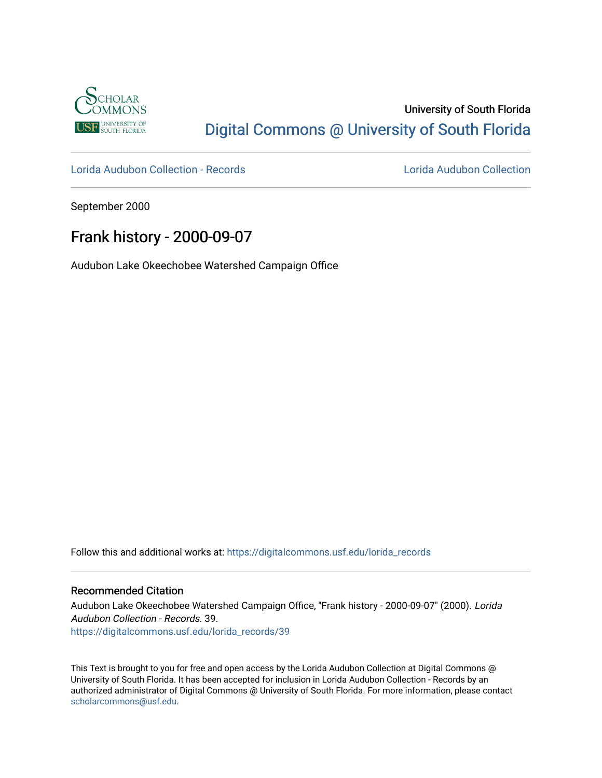

### University of South Florida [Digital Commons @ University of South Florida](https://digitalcommons.usf.edu/)

[Lorida Audubon Collection - Records](https://digitalcommons.usf.edu/lorida_records) [Lorida Audubon Collection](https://digitalcommons.usf.edu/lorida) 

September 2000

## Frank history - 2000-09-07

Audubon Lake Okeechobee Watershed Campaign Office

Follow this and additional works at: [https://digitalcommons.usf.edu/lorida\\_records](https://digitalcommons.usf.edu/lorida_records?utm_source=digitalcommons.usf.edu%2Florida_records%2F39&utm_medium=PDF&utm_campaign=PDFCoverPages)

#### Recommended Citation

Audubon Lake Okeechobee Watershed Campaign Office, "Frank history - 2000-09-07" (2000). Lorida Audubon Collection - Records. 39. [https://digitalcommons.usf.edu/lorida\\_records/39](https://digitalcommons.usf.edu/lorida_records/39?utm_source=digitalcommons.usf.edu%2Florida_records%2F39&utm_medium=PDF&utm_campaign=PDFCoverPages) 

This Text is brought to you for free and open access by the Lorida Audubon Collection at Digital Commons @ University of South Florida. It has been accepted for inclusion in Lorida Audubon Collection - Records by an authorized administrator of Digital Commons @ University of South Florida. For more information, please contact [scholarcommons@usf.edu.](mailto:scholarcommons@usf.edu)